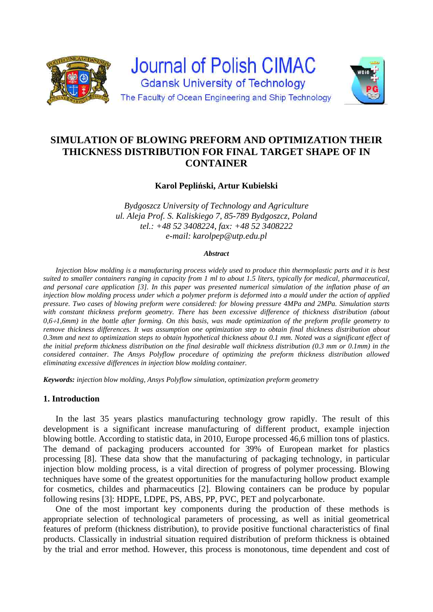

# **SIMULATION OF BLOWING PREFORM AND OPTIMIZATION THEIR THICKNESS DISTRIBUTION FOR FINAL TARGET SHAPE OF IN CONTAINER**

**Karol Pepliński, Artur Kubielski** 

*Bydgoszcz University of Technology and Agriculture ul. Aleja Prof. S. Kaliskiego 7, 85-789 Bydgoszcz, Poland tel.: +48 52 3408224, fax: +48 52 3408222 e-mail: karolpep@utp.edu.pl* 

#### *Abstract*

*Injection blow molding is a manufacturing process widely used to produce thin thermoplastic parts and it is best suited to smaller containers ranging in capacity from 1 ml to about 1.5 liters, typically for medical, pharmaceutical, and personal care application [3]. In this paper was presented numerical simulation of the inflation phase of an injection blow molding process under which a polymer preform is deformed into a mould under the action of applied pressure. Two cases of blowing preform were considered: for blowing pressure 4MPa and 2MPa. Simulation starts with constant thickness preform geometry. There has been excessive difference of thickness distribution (about 0,61,6mm) in the bottle after forming. On this basis, was made optimization of the preform profile geometry to remove thickness differences. It was assumption one optimization step to obtain final thickness distribution about 0.3mm and next to optimization steps to obtain hypothetical thickness about 0.1 mm. Noted was a significant effect of the initial preform thickness distribution on the final desirable wall thickness distribution (0.3 mm or 0.1mm) in the considered container. The Ansys Polyflow procedure of optimizing the preform thickness distribution allowed eliminating excessive differences in injection blow molding container.* 

*Keywords: injection blow molding, Ansys Polyflow simulation, optimization preform geometry* 

### **1. Introduction**

In the last 35 years plastics manufacturing technology grow rapidly. The result of this development is a significant increase manufacturing of different product, example injection blowing bottle. According to statistic data, in 2010, Europe processed 46,6 million tons of plastics. The demand of packaging producers accounted for 39% of European market for plastics processing [8]. These data show that the manufacturing of packaging technology, in particular injection blow molding process, is a vital direction of progress of polymer processing. Blowing techniques have some of the greatest opportunities for the manufacturing hollow product example for cosmetics, childes and pharmaceutics [2]. Blowing containers can be produce by popular following resins [3]: HDPE, LDPE, PS, ABS, PP, PVC, PET and polycarbonate.

One of the most important key components during the production of these methods is appropriate selection of technological parameters of processing, as well as initial geometrical features of preform (thickness distribution), to provide positive functional characteristics of final products. Classically in industrial situation required distribution of preform thickness is obtained by the trial and error method. However, this process is monotonous, time dependent and cost of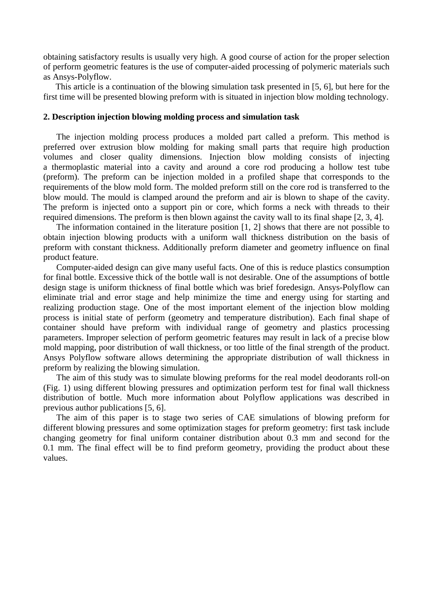obtaining satisfactory results is usually very high. A good course of action for the proper selection of perform geometric features is the use of computer-aided processing of polymeric materials such as Ansys-Polyflow.

This article is a continuation of the blowing simulation task presented in [5, 6], but here for the first time will be presented blowing preform with is situated in injection blow molding technology.

## **2. Description injection blowing molding process and simulation task**

The injection molding process produces a molded part called a preform. This method is preferred over extrusion blow molding for making small parts that require high production volumes and closer quality dimensions. Injection blow molding consists of injecting a thermoplastic material into a cavity and around a core rod producing a hollow test tube (preform). The preform can be injection molded in a profiled shape that corresponds to the requirements of the blow mold form. The molded preform still on the core rod is transferred to the blow mould. The mould is clamped around the preform and air is blown to shape of the cavity. The preform is injected onto a support pin or core, which forms a neck with threads to their required dimensions. The preform is then blown against the cavity wall to its final shape [2, 3, 4].

The information contained in the literature position [1, 2] shows that there are not possible to obtain injection blowing products with a uniform wall thickness distribution on the basis of preform with constant thickness. Additionally preform diameter and geometry influence on final product feature.

Computer-aided design can give many useful facts. One of this is reduce plastics consumption for final bottle. Excessive thick of the bottle wall is not desirable. One of the assumptions of bottle design stage is uniform thickness of final bottle which was brief foredesign. Ansys-Polyflow can eliminate trial and error stage and help minimize the time and energy using for starting and realizing production stage. One of the most important element of the injection blow molding process is initial state of perform (geometry and temperature distribution). Each final shape of container should have preform with individual range of geometry and plastics processing parameters. Improper selection of perform geometric features may result in lack of a precise blow mold mapping, poor distribution of wall thickness, or too little of the final strength of the product. Ansys Polyflow software allows determining the appropriate distribution of wall thickness in preform by realizing the blowing simulation.

The aim of this study was to simulate blowing preforms for the real model deodorants roll-on (Fig. 1) using different blowing pressures and optimization perform test for final wall thickness distribution of bottle. Much more information about Polyflow applications was described in previous author publications [5, 6].

The aim of this paper is to stage two series of CAE simulations of blowing preform for different blowing pressures and some optimization stages for preform geometry: first task include changing geometry for final uniform container distribution about 0.3 mm and second for the 0.1 mm. The final effect will be to find preform geometry, providing the product about these values.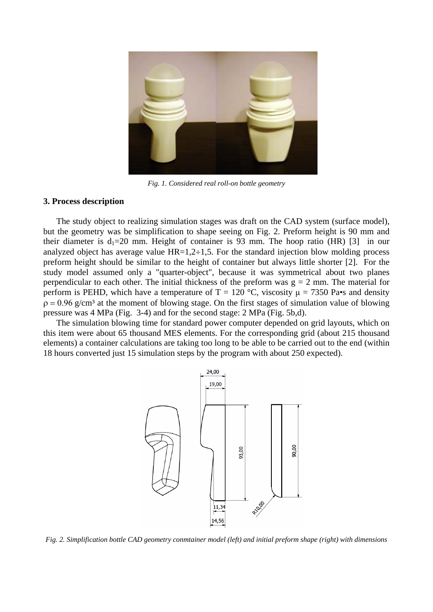

*Fig. 1. Considered real roll-on bottle geometry* 

#### **3. Process description**

The study object to realizing simulation stages was draft on the CAD system (surface model), but the geometry was be simplification to shape seeing on Fig. 2. Preform height is 90 mm and their diameter is  $d_1=20$  mm. Height of container is 93 mm. The hoop ratio (HR) [3] in our analyzed object has average value  $HR=1,2\div 1,5$ . For the standard injection blow molding process preform height should be similar to the height of container but always little shorter [2]. For the study model assumed only a "quarter-object", because it was symmetrical about two planes perpendicular to each other. The initial thickness of the preform was  $g = 2$  mm. The material for perform is PEHD, which have a temperature of T = 120 °C, viscosity  $\mu$  = 7350 Pa•s and density  $p = 0.96$  g/cm<sup>3</sup> at the moment of blowing stage. On the first stages of simulation value of blowing pressure was 4 MPa (Fig. 3-4) and for the second stage: 2 MPa (Fig. 5b,d).

The simulation blowing time for standard power computer depended on grid layouts, which on this item were about 65 thousand MES elements. For the corresponding grid (about 215 thousand elements) a container calculations are taking too long to be able to be carried out to the end (within 18 hours converted just 15 simulation steps by the program with about 250 expected).



*Fig. 2. Simplification bottle CAD geometry conmtainer model (left) and initial preform shape (right) with dimensions*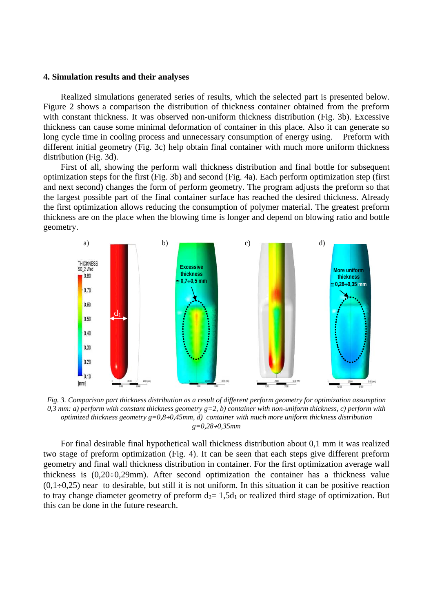#### **4. Simulation results and their analyses**

Realized simulations generated series of results, which the selected part is presented below. Figure 2 shows a comparison the distribution of thickness container obtained from the preform with constant thickness. It was observed non-uniform thickness distribution (Fig. 3b). Excessive thickness can cause some minimal deformation of container in this place. Also it can generate so long cycle time in cooling process and unnecessary consumption of energy using. Preform with different initial geometry (Fig. 3c) help obtain final container with much more uniform thickness distribution (Fig. 3d).

First of all, showing the perform wall thickness distribution and final bottle for subsequent optimization steps for the first (Fig. 3b) and second (Fig. 4a). Each perform optimization step (first and next second) changes the form of perform geometry. The program adjusts the preform so that the largest possible part of the final container surface has reached the desired thickness. Already the first optimization allows reducing the consumption of polymer material. The greatest preform thickness are on the place when the blowing time is longer and depend on blowing ratio and bottle geometry.



*Fig. 3. Comparison part thickness distribution as a result of different perform geometry for optimization assumption*   $0,3$  mm: a) perform with constant thickness geometry  $g=2$ , b) container with non-uniform thickness, c) perform with *optimized thickness geometry g=0,80,45mm, d) container with much more uniform thickness distribution g=0,280,35mm* 

For final desirable final hypothetical wall thickness distribution about 0,1 mm it was realized two stage of preform optimization (Fig. 4). It can be seen that each steps give different preform geometry and final wall thickness distribution in container. For the first optimization average wall thickness is  $(0.20 \div 0.29$ mm). After second optimization the container has a thickness value  $(0,1\div 0.25)$  near to desirable, but still it is not uniform. In this situation it can be positive reaction to tray change diameter geometry of preform  $d_2= 1.5d_1$  or realized third stage of optimization. But this can be done in the future research.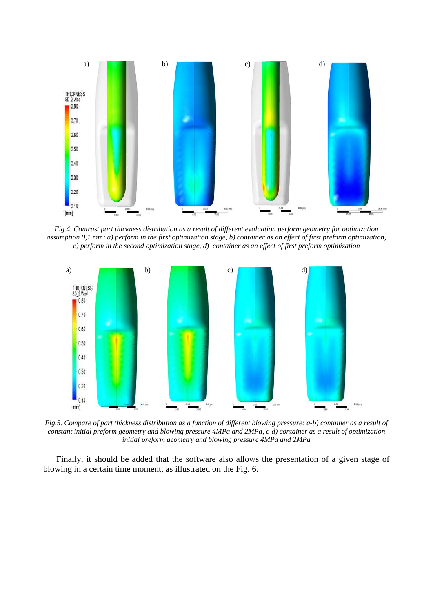

*Fig.4. Contrast part thickness distribution as a result of different evaluation perform geometry for optimization assumption 0,1 mm: a) perform in the first optimization stage, b) container as an effect of first preform optimization, c) perform in the second optimization stage, d) container as an effect of first preform optimization* 



*Fig.5. Compare of part thickness distribution as a function of different blowing pressure: a-b) container as a result of constant initial preform geometry and blowing pressure 4MPa and 2MPa, c-d) container as a result of optimization initial preform geometry and blowing pressure 4MPa and 2MPa* 

Finally, it should be added that the software also allows the presentation of a given stage of blowing in a certain time moment, as illustrated on the Fig. 6.